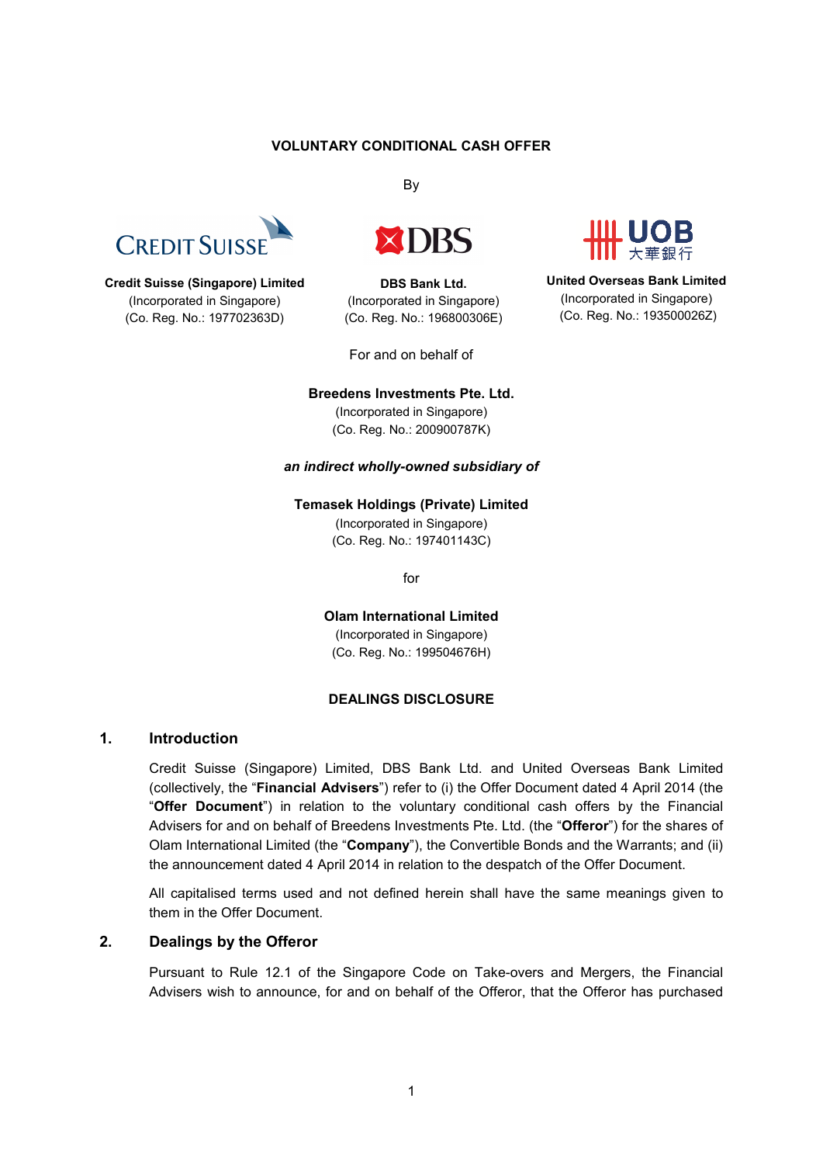## **VOLUNTARY CONDITIONAL CASH OFFER**

By



#### **Credit Suisse (Singapore) Limited** (Incorporated in Singapore) (Co. Reg. No.: 197702363D)



**DBS Bank Ltd.** (Incorporated in Singapore) (Co. Reg. No.: 196800306E)

For and on behalf of



**United Overseas Bank Limited** (Incorporated in Singapore) (Co. Reg. No.: 193500026Z)

#### **Breedens Investments Pte. Ltd.**

(Incorporated in Singapore) (Co. Reg. No.: 200900787K)

#### *an indirect wholly-owned subsidiary of*

#### **Temasek Holdings (Private) Limited**

(Incorporated in Singapore) (Co. Reg. No.: 197401143C)

for

**Olam International Limited** (Incorporated in Singapore) (Co. Reg. No.: 199504676H)

#### **DEALINGS DISCLOSURE**

## **1. Introduction**

Credit Suisse (Singapore) Limited, DBS Bank Ltd. and United Overseas Bank Limited (collectively, the "**Financial Advisers**") refer to (i) the Offer Document dated 4 April 2014 (the "**Offer Document**") in relation to the voluntary conditional cash offers by the Financial Advisers for and on behalf of Breedens Investments Pte. Ltd. (the "**Offeror**") for the shares of Olam International Limited (the "**Company**"), the Convertible Bonds and the Warrants; and (ii) the announcement dated 4 April 2014 in relation to the despatch of the Offer Document.

All capitalised terms used and not defined herein shall have the same meanings given to them in the Offer Document.

### **2. Dealings by the Offeror**

Pursuant to Rule 12.1 of the Singapore Code on Take-overs and Mergers, the Financial Advisers wish to announce, for and on behalf of the Offeror, that the Offeror has purchased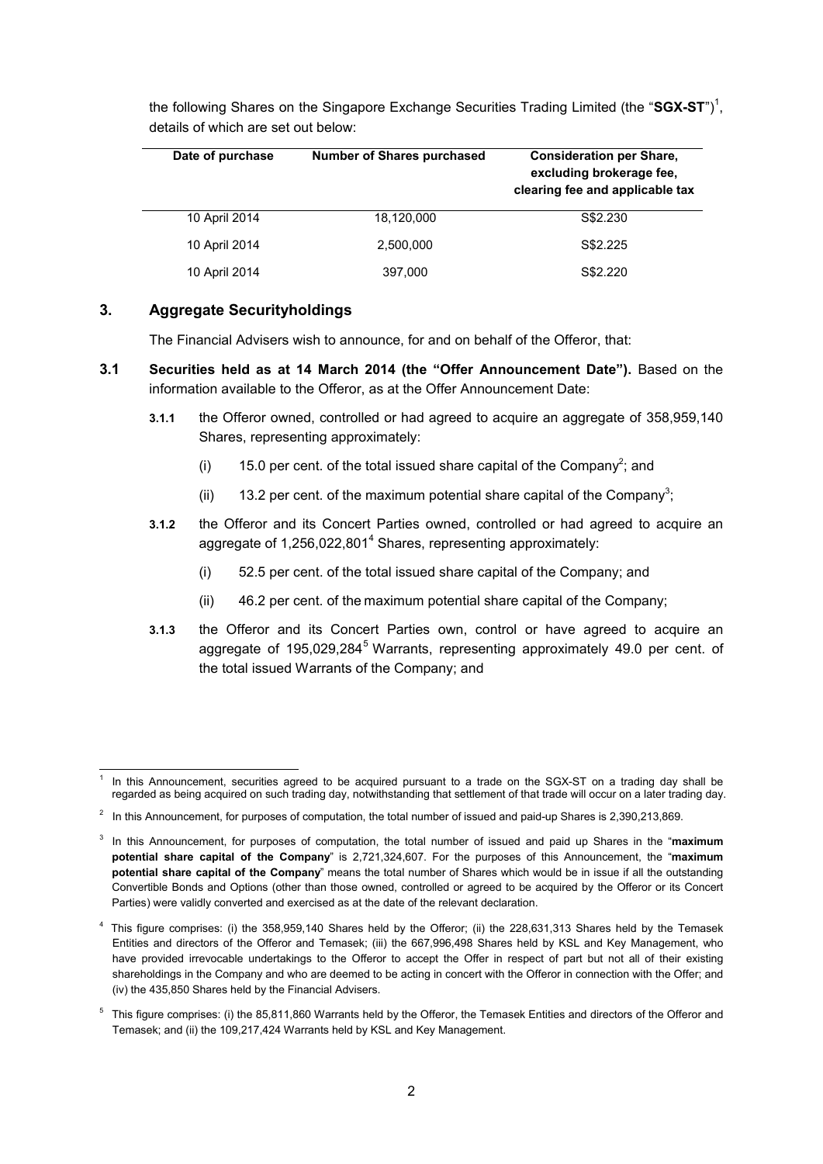| Date of purchase | <b>Number of Shares purchased</b> | <b>Consideration per Share,</b><br>excluding brokerage fee,<br>clearing fee and applicable tax |
|------------------|-----------------------------------|------------------------------------------------------------------------------------------------|
| 10 April 2014    | 18,120,000                        | S\$2.230                                                                                       |
| 10 April 2014    | 2,500,000                         | S\$2.225                                                                                       |
| 10 April 2014    | 397,000                           | S\$2,220                                                                                       |

the following Shares on the Singapore Exchange Securities Trading Limited (the "SGX-ST")<sup>1</sup>, details of which are set out below:

# **3. Aggregate Securityholdings**

The Financial Advisers wish to announce, for and on behalf of the Offeror, that:

- **3.1 Securities held as at 14 March 2014 (the "Offer Announcement Date").** Based on the information available to the Offeror, as at the Offer Announcement Date:
	- **3.1.1** the Offeror owned, controlled or had agreed to acquire an aggregate of 358,959,140 Shares, representing approximately:
		- (i) 15.0 per cent. of the total issued share capital of the Company<sup>2</sup>; and
		- (ii) 13.2 per cent. of the maximum potential share capital of the Company<sup>3</sup>;
	- **3.1.2** the Offeror and its Concert Parties owned, controlled or had agreed to acquire an aggregate of 1,256,022,801<sup>4</sup> Shares, representing approximately:
		- (i) 52.5 per cent. of the total issued share capital of the Company; and
		- (ii) 46.2 per cent. of the maximum potential share capital of the Company;
	- **3.1.3** the Offeror and its Concert Parties own, control or have agreed to acquire an aggregate of 195,029,284<sup>5</sup> Warrants, representing approximately 49.0 per cent. of the total issued Warrants of the Company; and

<sup>-</sup>1 In this Announcement, securities agreed to be acquired pursuant to a trade on the SGX-ST on a trading day shall be regarded as being acquired on such trading day, notwithstanding that settlement of that trade will occur on a later trading day.

 $2$  In this Announcement, for purposes of computation, the total number of issued and paid-up Shares is 2,390,213,869.

<sup>3</sup> In this Announcement, for purposes of computation, the total number of issued and paid up Shares in the "**maximum potential share capital of the Company**" is 2,721,324,607. For the purposes of this Announcement, the "**maximum potential share capital of the Company**" means the total number of Shares which would be in issue if all the outstanding Convertible Bonds and Options (other than those owned, controlled or agreed to be acquired by the Offeror or its Concert Parties) were validly converted and exercised as at the date of the relevant declaration.

<sup>4</sup> This figure comprises: (i) the 358,959,140 Shares held by the Offeror; (ii) the 228,631,313 Shares held by the Temasek Entities and directors of the Offeror and Temasek; (iii) the 667,996,498 Shares held by KSL and Key Management, who have provided irrevocable undertakings to the Offeror to accept the Offer in respect of part but not all of their existing shareholdings in the Company and who are deemed to be acting in concert with the Offeror in connection with the Offer; and (iv) the 435,850 Shares held by the Financial Advisers.

<sup>5</sup> This figure comprises: (i) the 85,811,860 Warrants held by the Offeror, the Temasek Entities and directors of the Offeror and Temasek; and (ii) the 109,217,424 Warrants held by KSL and Key Management.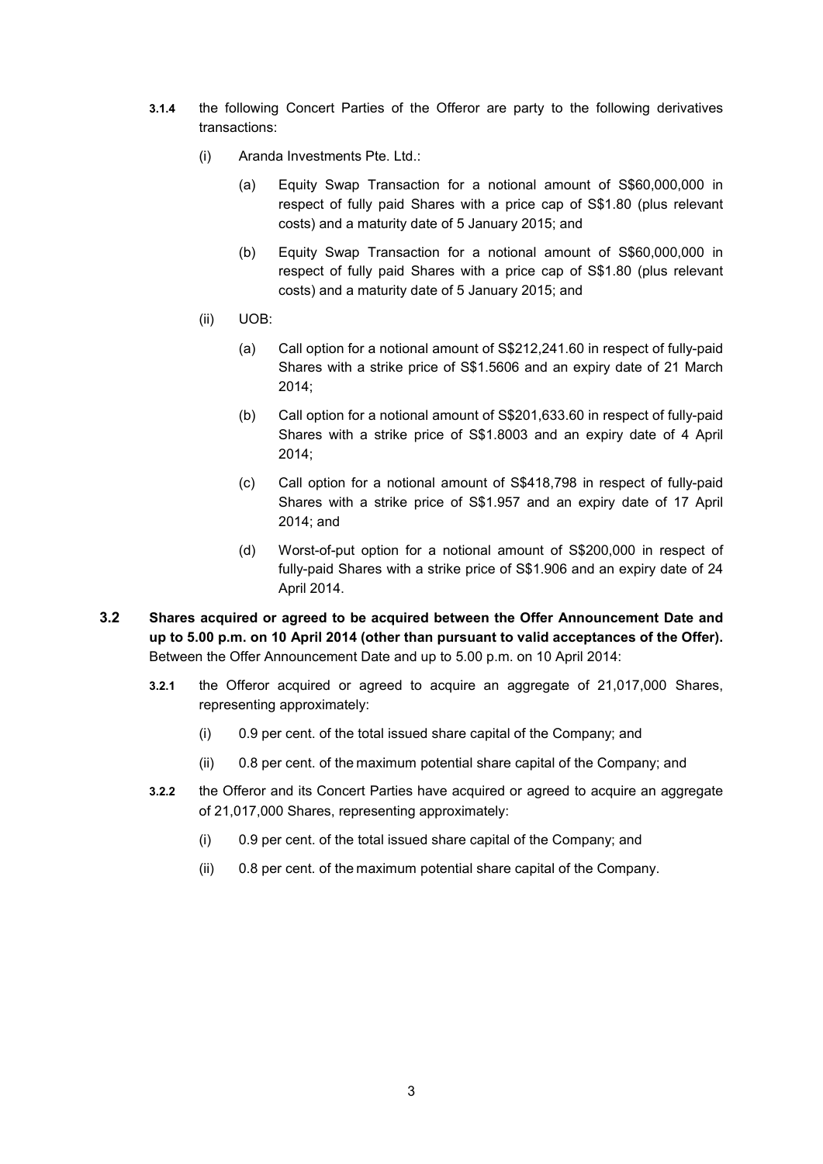- **3.1.4** the following Concert Parties of the Offeror are party to the following derivatives transactions:
	- (i) Aranda Investments Pte. Ltd.:
		- (a) Equity Swap Transaction for a notional amount of S\$60,000,000 in respect of fully paid Shares with a price cap of S\$1.80 (plus relevant costs) and a maturity date of 5 January 2015; and
		- (b) Equity Swap Transaction for a notional amount of S\$60,000,000 in respect of fully paid Shares with a price cap of S\$1.80 (plus relevant costs) and a maturity date of 5 January 2015; and
	- (ii) UOB:
		- (a) Call option for a notional amount of S\$212,241.60 in respect of fully-paid Shares with a strike price of S\$1.5606 and an expiry date of 21 March 2014;
		- (b) Call option for a notional amount of S\$201,633.60 in respect of fully-paid Shares with a strike price of S\$1.8003 and an expiry date of 4 April 2014;
		- (c) Call option for a notional amount of S\$418,798 in respect of fully-paid Shares with a strike price of S\$1.957 and an expiry date of 17 April 2014; and
		- (d) Worst-of-put option for a notional amount of S\$200,000 in respect of fully-paid Shares with a strike price of S\$1.906 and an expiry date of 24 April 2014.
- **3.2 Shares acquired or agreed to be acquired between the Offer Announcement Date and up to 5.00 p.m. on 10 April 2014 (other than pursuant to valid acceptances of the Offer).**  Between the Offer Announcement Date and up to 5.00 p.m. on 10 April 2014:
	- **3.2.1** the Offeror acquired or agreed to acquire an aggregate of 21,017,000 Shares, representing approximately:
		- (i) 0.9 per cent. of the total issued share capital of the Company; and
		- (ii) 0.8 per cent. of the maximum potential share capital of the Company; and
	- **3.2.2** the Offeror and its Concert Parties have acquired or agreed to acquire an aggregate of 21,017,000 Shares, representing approximately:
		- (i) 0.9 per cent. of the total issued share capital of the Company; and
		- (ii) 0.8 per cent. of the maximum potential share capital of the Company.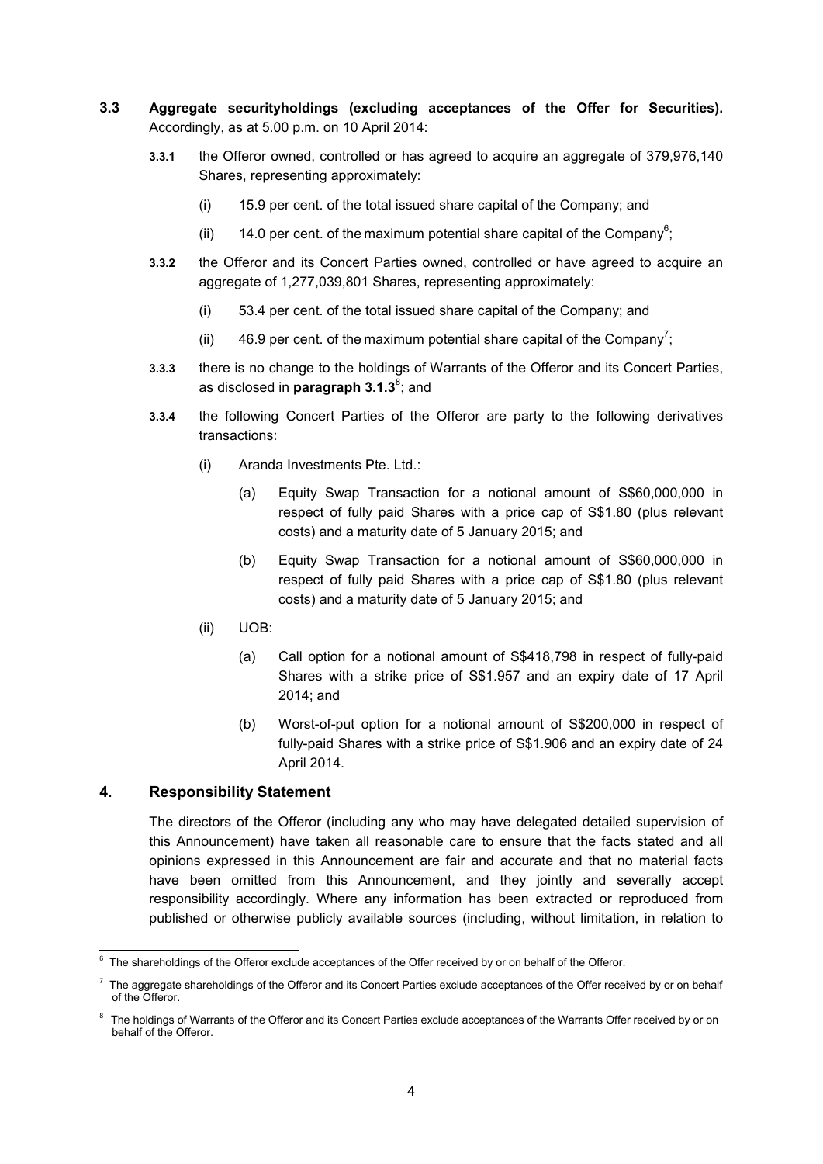- **3.3 Aggregate securityholdings (excluding acceptances of the Offer for Securities).** Accordingly, as at 5.00 p.m. on 10 April 2014:
	- **3.3.1** the Offeror owned, controlled or has agreed to acquire an aggregate of 379,976,140 Shares, representing approximately:
		- (i) 15.9 per cent. of the total issued share capital of the Company; and
		- (ii) 14.0 per cent. of the maximum potential share capital of the Company<sup>6</sup>;
	- **3.3.2** the Offeror and its Concert Parties owned, controlled or have agreed to acquire an aggregate of 1,277,039,801 Shares, representing approximately:
		- (i) 53.4 per cent. of the total issued share capital of the Company; and
		- (ii) 46.9 per cent. of the maximum potential share capital of the Company<sup>7</sup>;
	- **3.3.3** there is no change to the holdings of Warrants of the Offeror and its Concert Parties, as disclosed in **paragraph 3.1.3**<sup>8</sup>; and
	- **3.3.4** the following Concert Parties of the Offeror are party to the following derivatives transactions:
		- (i) Aranda Investments Pte. Ltd.:
			- (a) Equity Swap Transaction for a notional amount of S\$60,000,000 in respect of fully paid Shares with a price cap of S\$1.80 (plus relevant costs) and a maturity date of 5 January 2015; and
			- (b) Equity Swap Transaction for a notional amount of S\$60,000,000 in respect of fully paid Shares with a price cap of S\$1.80 (plus relevant costs) and a maturity date of 5 January 2015; and
		- (ii) UOB:
			- (a) Call option for a notional amount of S\$418,798 in respect of fully-paid Shares with a strike price of S\$1.957 and an expiry date of 17 April 2014; and
			- (b) Worst-of-put option for a notional amount of S\$200,000 in respect of fully-paid Shares with a strike price of S\$1.906 and an expiry date of 24 April 2014.

### **4. Responsibility Statement**

The directors of the Offeror (including any who may have delegated detailed supervision of this Announcement) have taken all reasonable care to ensure that the facts stated and all opinions expressed in this Announcement are fair and accurate and that no material facts have been omitted from this Announcement, and they jointly and severally accept responsibility accordingly. Where any information has been extracted or reproduced from published or otherwise publicly available sources (including, without limitation, in relation to

 6 The shareholdings of the Offeror exclude acceptances of the Offer received by or on behalf of the Offeror.

 $^7$  The aggregate shareholdings of the Offeror and its Concert Parties exclude acceptances of the Offer received by or on behalf of the Offeror.

<sup>&</sup>lt;sup>8</sup> The holdings of Warrants of the Offeror and its Concert Parties exclude acceptances of the Warrants Offer received by or on behalf of the Offeror.